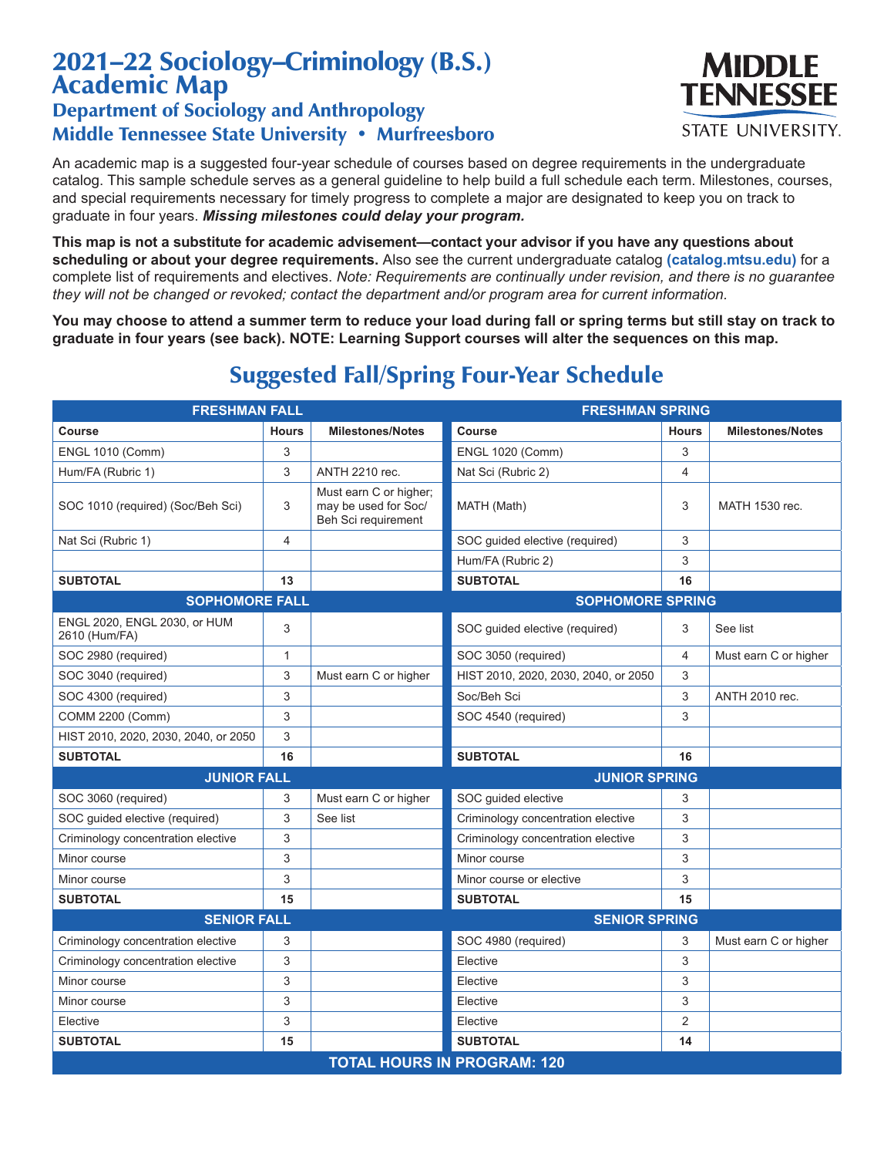## 2021–22 Sociology–Criminology (B.S.) Academic Map

## Department of Sociology and Anthropology Middle Tennessee State University • Murfreesboro

An academic map is a suggested four-year schedule of courses based on degree requirements in the undergraduate catalog. This sample schedule serves as a general guideline to help build a full schedule each term. Milestones, courses, and special requirements necessary for timely progress to complete a major are designated to keep you on track to graduate in four years. *Missing milestones could delay your program.*

**This map is not a substitute for academic advisement—contact your advisor if you have any questions about scheduling or about your degree requirements.** Also see the current undergraduate catalog **(catalog.mtsu.edu)** for a complete list of requirements and electives. *Note: Requirements are continually under revision, and there is no guarantee they will not be changed or revoked; contact the department and/or program area for current information.*

**You may choose to attend a summer term to reduce your load during fall or spring terms but still stay on track to graduate in four years (see back). NOTE: Learning Support courses will alter the sequences on this map.**

| <b>FRESHMAN FALL</b>                          |              |                                                                       | <b>FRESHMAN SPRING</b>               |                |                         |  |  |
|-----------------------------------------------|--------------|-----------------------------------------------------------------------|--------------------------------------|----------------|-------------------------|--|--|
| Course                                        | <b>Hours</b> | <b>Milestones/Notes</b>                                               | Course                               | <b>Hours</b>   | <b>Milestones/Notes</b> |  |  |
| <b>ENGL 1010 (Comm)</b>                       | 3            |                                                                       | <b>ENGL 1020 (Comm)</b>              | 3              |                         |  |  |
| Hum/FA (Rubric 1)                             | 3            | <b>ANTH 2210 rec.</b>                                                 | Nat Sci (Rubric 2)                   | 4              |                         |  |  |
| SOC 1010 (required) (Soc/Beh Sci)             | 3            | Must earn C or higher;<br>may be used for Soc/<br>Beh Sci requirement | MATH (Math)                          | 3              | MATH 1530 rec.          |  |  |
| Nat Sci (Rubric 1)                            | 4            |                                                                       | SOC guided elective (required)       | 3              |                         |  |  |
|                                               |              |                                                                       | Hum/FA (Rubric 2)                    | 3              |                         |  |  |
| <b>SUBTOTAL</b>                               | 13           |                                                                       | <b>SUBTOTAL</b>                      | 16             |                         |  |  |
| <b>SOPHOMORE FALL</b>                         |              |                                                                       | <b>SOPHOMORE SPRING</b>              |                |                         |  |  |
| ENGL 2020, ENGL 2030, or HUM<br>2610 (Hum/FA) | 3            |                                                                       | SOC guided elective (required)       | 3              | See list                |  |  |
| SOC 2980 (required)                           | $\mathbf{1}$ |                                                                       | SOC 3050 (required)                  | 4              | Must earn C or higher   |  |  |
| SOC 3040 (required)                           | 3            | Must earn C or higher                                                 | HIST 2010, 2020, 2030, 2040, or 2050 | 3              |                         |  |  |
| SOC 4300 (required)                           | 3            |                                                                       | Soc/Beh Sci                          | 3              | <b>ANTH 2010 rec.</b>   |  |  |
| COMM 2200 (Comm)                              | 3            |                                                                       | SOC 4540 (required)                  | 3              |                         |  |  |
| HIST 2010, 2020, 2030, 2040, or 2050          | 3            |                                                                       |                                      |                |                         |  |  |
| <b>SUBTOTAL</b>                               | 16           |                                                                       | <b>SUBTOTAL</b>                      | 16             |                         |  |  |
| <b>JUNIOR FALL</b>                            |              |                                                                       | <b>JUNIOR SPRING</b>                 |                |                         |  |  |
| SOC 3060 (required)                           | 3            | Must earn C or higher                                                 | SOC guided elective                  | 3              |                         |  |  |
| SOC guided elective (required)                | 3            | See list                                                              | Criminology concentration elective   | 3              |                         |  |  |
| Criminology concentration elective            | 3            |                                                                       | Criminology concentration elective   | 3              |                         |  |  |
| Minor course                                  | 3            |                                                                       | Minor course                         | 3              |                         |  |  |
| Minor course                                  | 3            |                                                                       | Minor course or elective             | 3              |                         |  |  |
| <b>SUBTOTAL</b>                               | 15           |                                                                       | <b>SUBTOTAL</b>                      | 15             |                         |  |  |
| <b>SENIOR FALL</b>                            |              |                                                                       | <b>SENIOR SPRING</b>                 |                |                         |  |  |
| Criminology concentration elective            | 3            |                                                                       | SOC 4980 (required)                  | 3              | Must earn C or higher   |  |  |
| Criminology concentration elective            | 3            |                                                                       | Elective                             | 3              |                         |  |  |
| Minor course                                  | 3            |                                                                       | Elective                             | 3              |                         |  |  |
| Minor course                                  | 3            |                                                                       | Elective                             | 3              |                         |  |  |
| Elective                                      | 3            |                                                                       | Elective                             | $\overline{2}$ |                         |  |  |
| <b>SUBTOTAL</b>                               | 15           |                                                                       | <b>SUBTOTAL</b>                      | 14             |                         |  |  |
| <b>TOTAL HOURS IN PROGRAM: 120</b>            |              |                                                                       |                                      |                |                         |  |  |

## Suggested Fall/Spring Four-Year Schedule